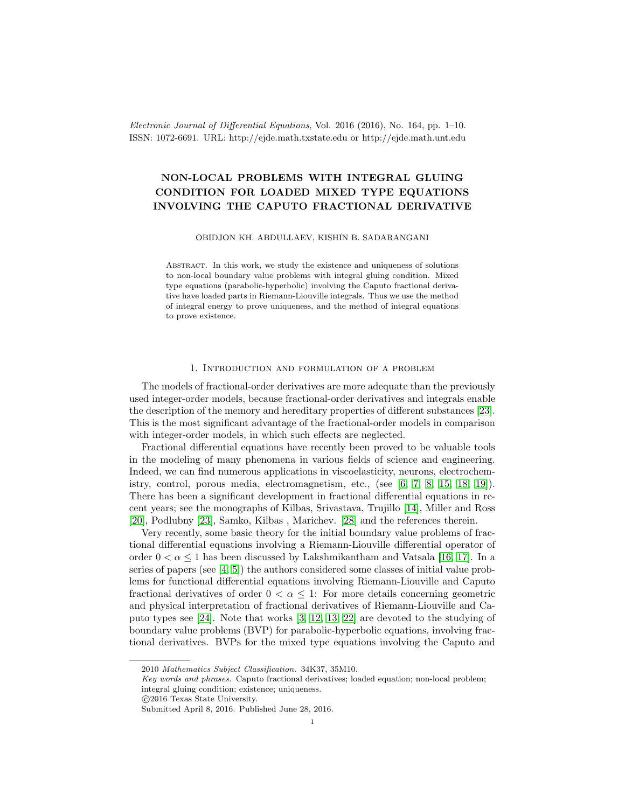Electronic Journal of Differential Equations, Vol. 2016 (2016), No. 164, pp. 1–10. ISSN: 1072-6691. URL: http://ejde.math.txstate.edu or http://ejde.math.unt.edu

# NON-LOCAL PROBLEMS WITH INTEGRAL GLUING CONDITION FOR LOADED MIXED TYPE EQUATIONS INVOLVING THE CAPUTO FRACTIONAL DERIVATIVE

#### OBIDJON KH. ABDULLAEV, KISHIN B. SADARANGANI

Abstract. In this work, we study the existence and uniqueness of solutions to non-local boundary value problems with integral gluing condition. Mixed type equations (parabolic-hyperbolic) involving the Caputo fractional derivative have loaded parts in Riemann-Liouville integrals. Thus we use the method of integral energy to prove uniqueness, and the method of integral equations to prove existence.

### 1. Introduction and formulation of a problem

The models of fractional-order derivatives are more adequate than the previously used integer-order models, because fractional-order derivatives and integrals enable the description of the memory and hereditary properties of different substances [\[23\]](#page-8-0). This is the most significant advantage of the fractional-order models in comparison with integer-order models, in which such effects are neglected.

Fractional differential equations have recently been proved to be valuable tools in the modeling of many phenomena in various fields of science and engineering. Indeed, we can find numerous applications in viscoelasticity, neurons, electrochemistry, control, porous media, electromagnetism, etc., (see  $[6, 7, 8, 15, 18, 19]$  $[6, 7, 8, 15, 18, 19]$  $[6, 7, 8, 15, 18, 19]$  $[6, 7, 8, 15, 18, 19]$  $[6, 7, 8, 15, 18, 19]$  $[6, 7, 8, 15, 18, 19]$ ). There has been a significant development in fractional differential equations in recent years; see the monographs of Kilbas, Srivastava, Trujillo [\[14\]](#page-8-7), Miller and Ross [\[20\]](#page-8-8), Podlubny [\[23\]](#page-8-0), Samko, Kilbas , Marichev. [\[28\]](#page-8-9) and the references therein.

Very recently, some basic theory for the initial boundary value problems of fractional differential equations involving a Riemann-Liouville differential operator of order  $0 < \alpha < 1$  has been discussed by Lakshmikantham and Vatsala [\[16,](#page-8-10) [17\]](#page-8-11). In a series of papers (see  $[4, 5]$  $[4, 5]$ ) the authors considered some classes of initial value problems for functional differential equations involving Riemann-Liouville and Caputo fractional derivatives of order  $0 < \alpha \leq 1$ : For more details concerning geometric and physical interpretation of fractional derivatives of Riemann-Liouville and Caputo types see [\[24\]](#page-8-12). Note that works [\[3,](#page-7-2) [12,](#page-8-13) [13,](#page-8-14) [22\]](#page-8-15) are devoted to the studying of boundary value problems (BVP) for parabolic-hyperbolic equations, involving fractional derivatives. BVPs for the mixed type equations involving the Caputo and

<sup>2010</sup> Mathematics Subject Classification. 34K37, 35M10.

Key words and phrases. Caputo fractional derivatives; loaded equation; non-local problem; integral gluing condition; existence; uniqueness.

c 2016 Texas State University.

Submitted April 8, 2016. Published June 28, 2016.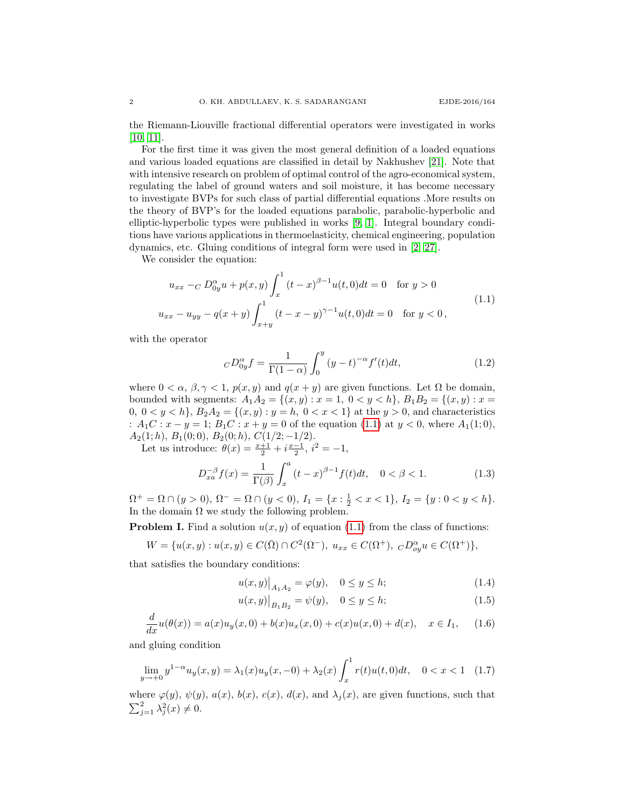the Riemann-Liouville fractional differential operators were investigated in works [\[10,](#page-8-16) [11\]](#page-8-17).

For the first time it was given the most general definition of a loaded equations and various loaded equations are classified in detail by Nakhushev [\[21\]](#page-8-18). Note that with intensive research on problem of optimal control of the agro-economical system, regulating the label of ground waters and soil moisture, it has become necessary to investigate BVPs for such class of partial differential equations .More results on the theory of BVP's for the loaded equations parabolic, parabolic-hyperbolic and elliptic-hyperbolic types were published in works [\[9,](#page-8-19) [1\]](#page-7-3). Integral boundary conditions have various applications in thermoelasticity, chemical engineering, population dynamics, etc. Gluing conditions of integral form were used in [\[2,](#page-7-4) [27\]](#page-8-20).

We consider the equation:

<span id="page-1-0"></span>
$$
u_{xx} -_C D_{0y}^{\alpha} u + p(x, y) \int_x^1 (t - x)^{\beta - 1} u(t, 0) dt = 0 \quad \text{for } y > 0
$$
  

$$
u_{xx} - u_{yy} - q(x + y) \int_{x + y}^1 (t - x - y)^{\gamma - 1} u(t, 0) dt = 0 \quad \text{for } y < 0,
$$
 (1.1)

with the operator

<span id="page-1-4"></span>
$$
{}_{C}D_{0y}^{\alpha}f = \frac{1}{\Gamma(1-\alpha)} \int_0^y (y-t)^{-\alpha} f'(t)dt,
$$
\n(1.2)

where  $0 < \alpha, \beta, \gamma < 1$ ,  $p(x, y)$  and  $q(x + y)$  are given functions. Let  $\Omega$  be domain, bounded with segments:  $A_1A_2 = \{(x, y) : x = 1, 0 < y < h\}, B_1B_2 = \{(x, y) : x =$ 0,  $0 < y < h$ ,  $B_2A_2 = \{(x, y) : y = h, 0 < x < 1\}$  at the  $y > 0$ , and characteristics :  $A_1C: x - y = 1$ ;  $B_1C: x + y = 0$  of the equation [\(1.1\)](#page-1-0) at  $y < 0$ , where  $A_1(1,0)$ ,  $A_2(1; h), B_1(0; 0), B_2(0; h), C(1/2; -1/2).$ 

Let us introduce:  $\theta(x) = \frac{x+1}{2} + i \frac{x-1}{2}, i^2 = -1,$ 

<span id="page-1-2"></span>
$$
D_{xa}^{-\beta} f(x) = \frac{1}{\Gamma(\beta)} \int_x^a (t - x)^{\beta - 1} f(t) dt, \quad 0 < \beta < 1. \tag{1.3}
$$

 $\Omega^+ = \Omega \cap (y > 0), \ \Omega^- = \Omega \cap (y < 0), \ I_1 = \{x : \frac{1}{2} < x < 1\}, \ I_2 = \{y : 0 < y < h\}.$ In the domain  $\Omega$  we study the following problem.

**Problem I.** Find a solution  $u(x, y)$  of equation [\(1.1\)](#page-1-0) from the class of functions:

$$
W = \{ u(x, y) : u(x, y) \in C(\bar{\Omega}) \cap C^{2}(\Omega^{-}), \ u_{xx} \in C(\Omega^{+}), \ C_{oy}D_{oy}^{\alpha}u \in C(\Omega^{+}) \},\
$$

that satisfies the boundary conditions:

<span id="page-1-6"></span><span id="page-1-5"></span><span id="page-1-1"></span>
$$
u(x,y)|_{A_1 A_2} = \varphi(y), \quad 0 \le y \le h; \tag{1.4}
$$

$$
u(x,y)|_{B_1B_2} = \psi(y), \quad 0 \le y \le h;
$$
\n(1.5)

$$
\frac{d}{dx}u(\theta(x)) = a(x)u_y(x,0) + b(x)u_x(x,0) + c(x)u(x,0) + d(x), \quad x \in I_1,
$$
\n(1.6)

and gluing condition

<span id="page-1-3"></span>
$$
\lim_{y \to +0} y^{1-\alpha} u_y(x, y) = \lambda_1(x) u_y(x, -0) + \lambda_2(x) \int_x^1 r(t) u(t, 0) dt, \quad 0 < x < 1 \quad (1.7)
$$

where  $\varphi(y)$ ,  $\psi(y)$ ,  $a(x)$ ,  $b(x)$ ,  $c(x)$ ,  $d(x)$ , and  $\lambda_j(x)$ , are given functions, such that  $\sum_{j=1}^2 \lambda_j^2(x) \neq 0.$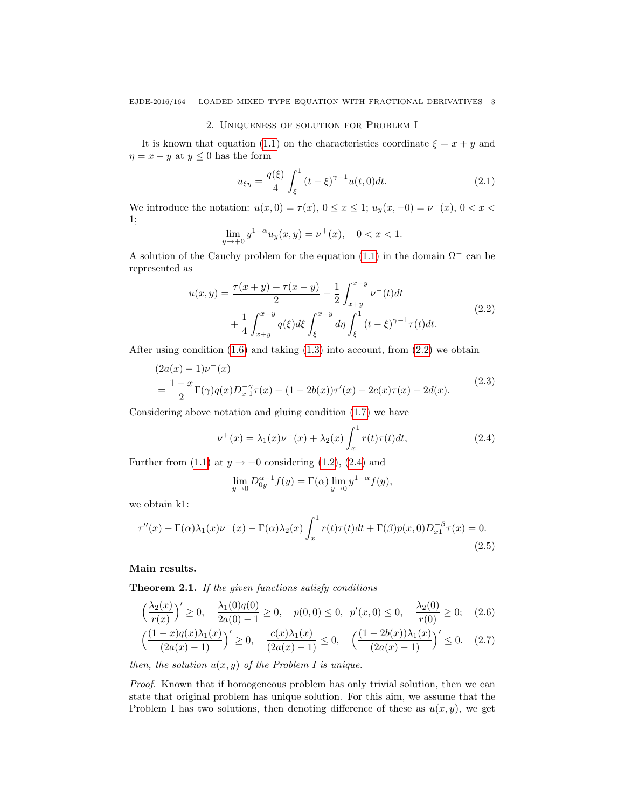## 2. Uniqueness of solution for Problem I

It is known that equation [\(1.1\)](#page-1-0) on the characteristics coordinate  $\xi = x + y$  and  $\eta = x - y$  at  $y \leq 0$  has the form

$$
u_{\xi\eta} = \frac{q(\xi)}{4} \int_{\xi}^{1} (t - \xi)^{\gamma - 1} u(t, 0) dt.
$$
 (2.1)

We introduce the notation:  $u(x, 0) = \tau(x)$ ,  $0 \le x \le 1$ ;  $u_y(x, -0) = v^-(x)$ ,  $0 < x <$ 1;

$$
\lim_{y \to +0} y^{1-\alpha} u_y(x, y) = \nu^+(x), \quad 0 < x < 1.
$$

A solution of the Cauchy problem for the equation [\(1.1\)](#page-1-0) in the domain  $\Omega^-$  can be represented as

<span id="page-2-0"></span>
$$
u(x,y) = \frac{\tau(x+y) + \tau(x-y)}{2} - \frac{1}{2} \int_{x+y}^{x-y} \nu^{-}(t)dt
$$
  
+ 
$$
\frac{1}{4} \int_{x+y}^{x-y} q(\xi) d\xi \int_{\xi}^{x-y} d\eta \int_{\xi}^{1} (t-\xi)^{\gamma-1} \tau(t) dt.
$$
 (2.2)

After using condition  $(1.6)$  and taking  $(1.3)$  into account, from  $(2.2)$  we obtain

<span id="page-2-3"></span>
$$
(2a(x) - 1)\nu^{-}(x)
$$
  
=  $\frac{1-x}{2}\Gamma(\gamma)q(x)D_{x}^{-\gamma}\tau(x) + (1 - 2b(x))\tau'(x) - 2c(x)\tau(x) - 2d(x).$  (2.3)

Considering above notation and gluing condition [\(1.7\)](#page-1-3) we have

<span id="page-2-1"></span>
$$
\nu^{+}(x) = \lambda_{1}(x)\nu^{-}(x) + \lambda_{2}(x)\int_{x}^{1} r(t)\tau(t)dt,
$$
\n(2.4)

Further from [\(1.1\)](#page-1-0) at  $y \to +0$  considering [\(1.2\)](#page-1-4), [\(2.4\)](#page-2-1) and

<span id="page-2-5"></span><span id="page-2-4"></span>
$$
\lim_{y \to 0} D_{0y}^{\alpha - 1} f(y) = \Gamma(\alpha) \lim_{y \to 0} y^{1 - \alpha} f(y),
$$

we obtain k1:

<span id="page-2-2"></span>
$$
\tau''(x) - \Gamma(\alpha)\lambda_1(x)\nu^-(x) - \Gamma(\alpha)\lambda_2(x)\int_x^1 r(t)\tau(t)dt + \Gamma(\beta)p(x,0)D_{x1}^{-\beta}\tau(x) = 0.
$$
\n(2.5)

### Main results.

Theorem 2.1. If the given functions satisfy conditions

$$
\left(\frac{\lambda_2(x)}{r(x)}\right)' \ge 0, \quad \frac{\lambda_1(0)q(0)}{2a(0)-1} \ge 0, \quad p(0,0) \le 0, \quad p'(x,0) \le 0, \quad \frac{\lambda_2(0)}{r(0)} \ge 0; \quad (2.6)
$$

$$
\left(\frac{(1-x)q(x)\lambda_1(x)}{(2a(x)-1)}\right)' \ge 0, \quad \frac{c(x)\lambda_1(x)}{(2a(x)-1)} \le 0, \quad \left(\frac{(1-2b(x))\lambda_1(x)}{(2a(x)-1)}\right)' \le 0. \quad (2.7)
$$

then, the solution  $u(x, y)$  of the Problem I is unique.

Proof. Known that if homogeneous problem has only trivial solution, then we can state that original problem has unique solution. For this aim, we assume that the Problem I has two solutions, then denoting difference of these as  $u(x, y)$ , we get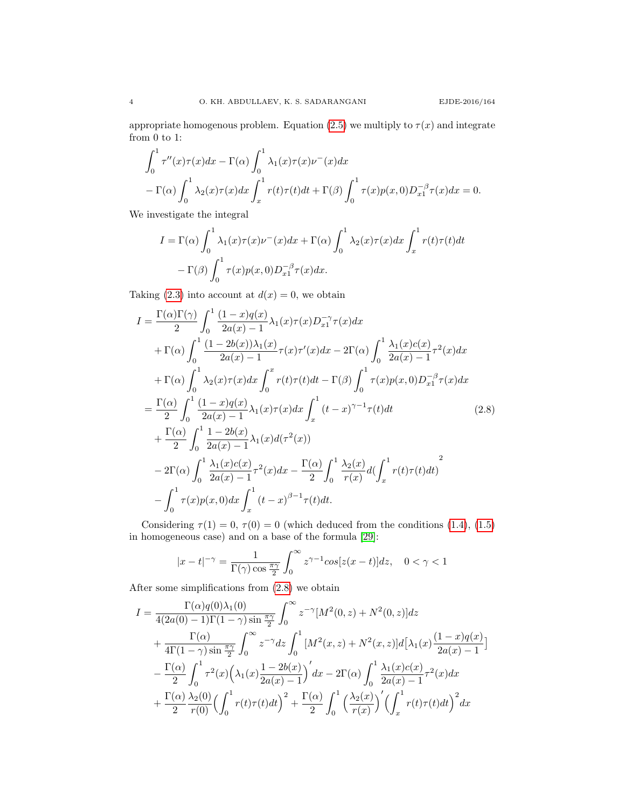appropriate homogenous problem. Equation [\(2.5\)](#page-2-2) we multiply to  $\tau(x)$  and integrate from  $0$  to  $1\mathrm{:}$ 

$$
\int_0^1 \tau''(x)\tau(x)dx - \Gamma(\alpha)\int_0^1 \lambda_1(x)\tau(x)\nu^-(x)dx
$$
  
-  $\Gamma(\alpha)\int_0^1 \lambda_2(x)\tau(x)dx \int_x^1 r(t)\tau(t)dt + \Gamma(\beta)\int_0^1 \tau(x)p(x,0)D_{x_1}^{-\beta}\tau(x)dx = 0.$ 

We investigate the integral

$$
I = \Gamma(\alpha) \int_0^1 \lambda_1(x) \tau(x) \nu^-(x) dx + \Gamma(\alpha) \int_0^1 \lambda_2(x) \tau(x) dx \int_x^1 r(t) \tau(t) dt
$$
  
-  $\Gamma(\beta) \int_0^1 \tau(x) p(x, 0) D_{x_1}^{-\beta} \tau(x) dx.$ 

Taking [\(2.3\)](#page-2-3) into account at  $d(x) = 0$ , we obtain

<span id="page-3-0"></span>
$$
I = \frac{\Gamma(\alpha)\Gamma(\gamma)}{2} \int_0^1 \frac{(1-x)q(x)}{2a(x) - 1} \lambda_1(x)\tau(x)D_{x1}^{-\gamma}\tau(x)dx + \Gamma(\alpha) \int_0^1 \frac{(1-2b(x))\lambda_1(x)}{2a(x) - 1}\tau(x)\tau'(x)dx - 2\Gamma(\alpha) \int_0^1 \frac{\lambda_1(x)c(x)}{2a(x) - 1}\tau^2(x)dx + \Gamma(\alpha) \int_0^1 \lambda_2(x)\tau(x)dx \int_0^x r(t)\tau(t)dt - \Gamma(\beta) \int_0^1 \tau(x)p(x,0)D_{x1}^{-\beta}\tau(x)dx = \frac{\Gamma(\alpha)}{2} \int_0^1 \frac{(1-x)q(x)}{2a(x) - 1} \lambda_1(x)\tau(x)dx \int_x^1 (t-x)^{\gamma-1}\tau(t)dt \qquad (2.8) + \frac{\Gamma(\alpha)}{2} \int_0^1 \frac{1-2b(x)}{2a(x) - 1} \lambda_1(x)d(\tau^2(x)) - 2\Gamma(\alpha) \int_0^1 \frac{\lambda_1(x)c(x)}{2a(x) - 1}\tau^2(x)dx - \frac{\Gamma(\alpha)}{2} \int_0^1 \frac{\lambda_2(x)}{r(x)}d(\int_x^1 r(t)\tau(t)dt) - \int_0^1 \tau(x)p(x,0)dx \int_x^1 (t-x)^{\beta-1}\tau(t)dt.
$$

Considering  $\tau(1) = 0$ ,  $\tau(0) = 0$  (which deduced from the conditions [\(1.4\)](#page-1-5), [\(1.5\)](#page-1-6) in homogeneous case) and on a base of the formula [\[29\]](#page-8-21):

$$
|x-t|^{-\gamma} = \frac{1}{\Gamma(\gamma)\cos\frac{\pi\gamma}{2}} \int_0^\infty z^{\gamma-1} \cos[z(x-t)]dz, \quad 0 < \gamma < 1
$$

After some simplifications from [\(2.8\)](#page-3-0) we obtain

$$
I = \frac{\Gamma(\alpha)q(0)\lambda_1(0)}{4(2a(0)-1)\Gamma(1-\gamma)\sin\frac{\pi\gamma}{2}} \int_0^\infty z^{-\gamma} [M^2(0,z) + N^2(0,z)]dz + \frac{\Gamma(\alpha)}{4\Gamma(1-\gamma)\sin\frac{\pi\gamma}{2}} \int_0^\infty z^{-\gamma} dz \int_0^1 [M^2(x,z) + N^2(x,z)]d[\lambda_1(x)\frac{(1-x)q(x)}{2a(x)-1}] - \frac{\Gamma(\alpha)}{2} \int_0^1 \tau^2(x) (\lambda_1(x)\frac{1-2b(x)}{2a(x)-1})' dx - 2\Gamma(\alpha) \int_0^1 \frac{\lambda_1(x)c(x)}{2a(x)-1} \tau^2(x) dx + \frac{\Gamma(\alpha)}{2} \frac{\lambda_2(0)}{r(0)} (\int_0^1 r(t)\tau(t)dt)^2 + \frac{\Gamma(\alpha)}{2} \int_0^1 (\frac{\lambda_2(x)}{r(x)})' (\int_x^1 r(t)\tau(t)dt)^2 dx
$$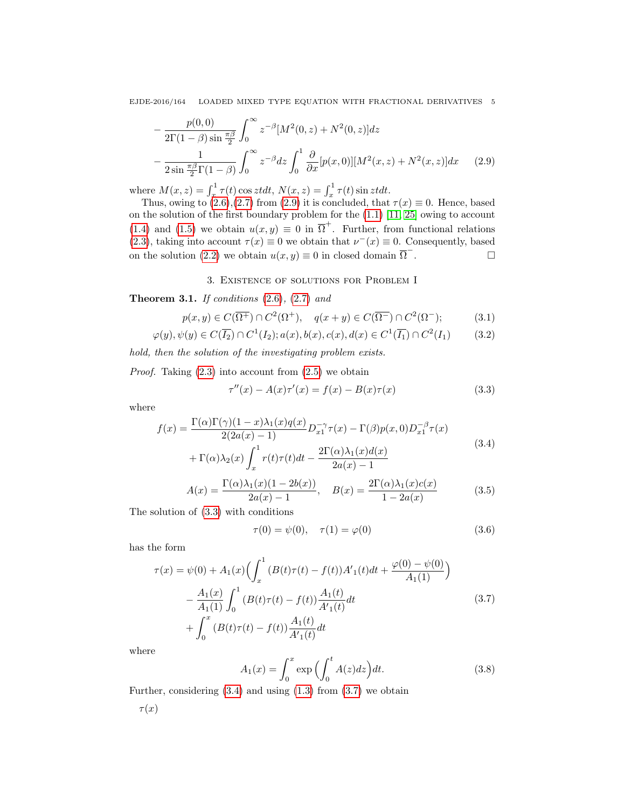EJDE-2016/164 LOADED MIXED TYPE EQUATION WITH FRACTIONAL DERIVATIVES 5

$$
-\frac{p(0,0)}{2\Gamma(1-\beta)\sin\frac{\pi\beta}{2}}\int_0^\infty z^{-\beta}[M^2(0,z)+N^2(0,z)]dz
$$
  
 
$$
-\frac{1}{2\sin\frac{\pi\beta}{2}\Gamma(1-\beta)}\int_0^\infty z^{-\beta}dz\int_0^1\frac{\partial}{\partial x}[p(x,0)][M^2(x,z)+N^2(x,z)]dx\qquad (2.9)
$$

where  $M(x, z) = \int_x^1 \tau(t) \cos z t dt$ ,  $N(x, z) = \int_x^1 \tau(t) \sin z t dt$ .

Thus, owing to  $(2.6),(2.7)$  $(2.6),(2.7)$  from  $(2.9)$  it is concluded, that  $\tau(x) \equiv 0$ . Hence, based on the solution of the first boundary problem for the [\(1.1\)](#page-1-0) [\[11,](#page-8-17) [25\]](#page-8-22) owing to account [\(1.4\)](#page-1-5) and [\(1.5\)](#page-1-6) we obtain  $u(x, y) \equiv 0$  in  $\overline{\Omega}^+$ . Further, from functional relations [\(2.3\)](#page-2-3), taking into account  $\tau(x) \equiv 0$  we obtain that  $\nu^{-}(x) \equiv 0$ . Consequently, based on the solution [\(2.2\)](#page-2-0) we obtain  $u(x, y) \equiv 0$  in closed domain  $\overline{\Omega}^{-}$ . — Первый просто просто просто просто просто просто просто просто просто просто просто просто просто просто п<br>В просто просто просто просто просто просто просто просто просто просто просто просто просто просто просто про

### <span id="page-4-0"></span>3. Existence of solutions for Problem I

**Theorem 3.1.** If conditions  $(2.6)$ ,  $(2.7)$  and

$$
p(x,y) \in C(\overline{\Omega^+}) \cap C^2(\Omega^+), \quad q(x+y) \in C(\overline{\Omega^-}) \cap C^2(\Omega^-); \tag{3.1}
$$

$$
\varphi(y), \psi(y) \in C(\overline{I_2}) \cap C^1(I_2); a(x), b(x), c(x), d(x) \in C^1(\overline{I_1}) \cap C^2(I_1) \tag{3.2}
$$

hold, then the solution of the investigating problem exists.

*Proof.* Taking  $(2.3)$  into account from  $(2.5)$  we obtain

<span id="page-4-5"></span><span id="page-4-4"></span><span id="page-4-1"></span>
$$
\tau''(x) - A(x)\tau'(x) = f(x) - B(x)\tau(x)
$$
\n(3.3)

where

<span id="page-4-2"></span>
$$
f(x) = \frac{\Gamma(\alpha)\Gamma(\gamma)(1-x)\lambda_1(x)q(x)}{2(2a(x)-1)}D_{x1}^{-\gamma}\tau(x) - \Gamma(\beta)p(x,0)D_{x1}^{-\beta}\tau(x)
$$
  
+ 
$$
\Gamma(\alpha)\lambda_2(x)\int_x^1 r(t)\tau(t)dt - \frac{2\Gamma(\alpha)\lambda_1(x)d(x)}{2a(x)-1}
$$
(3.4)

$$
A(x) = \frac{\Gamma(\alpha)\lambda_1(x)(1 - 2b(x))}{2a(x) - 1}, \quad B(x) = \frac{2\Gamma(\alpha)\lambda_1(x)c(x)}{1 - 2a(x)}
$$
(3.5)

The solution of [\(3.3\)](#page-4-1) with conditions

$$
\tau(0) = \psi(0), \quad \tau(1) = \varphi(0) \tag{3.6}
$$

has the form

<span id="page-4-3"></span>
$$
\tau(x) = \psi(0) + A_1(x) \Big( \int_x^1 (B(t)\tau(t) - f(t))A'_1(t)dt + \frac{\varphi(0) - \psi(0)}{A_1(1)} \Big)
$$
  

$$
- \frac{A_1(x)}{A_1(1)} \int_0^1 (B(t)\tau(t) - f(t))\frac{A_1(t)}{A'_1(t)}dt
$$
  

$$
+ \int_0^x (B(t)\tau(t) - f(t))\frac{A_1(t)}{A'_1(t)}dt
$$
\n(3.7)

where

$$
A_1(x) = \int_0^x \exp\left(\int_0^t A(z)dz\right)dt.
$$
\n(3.8)

Further, considering  $(3.4)$  and using  $(1.3)$  from  $(3.7)$  we obtain

$$
\tau(x)
$$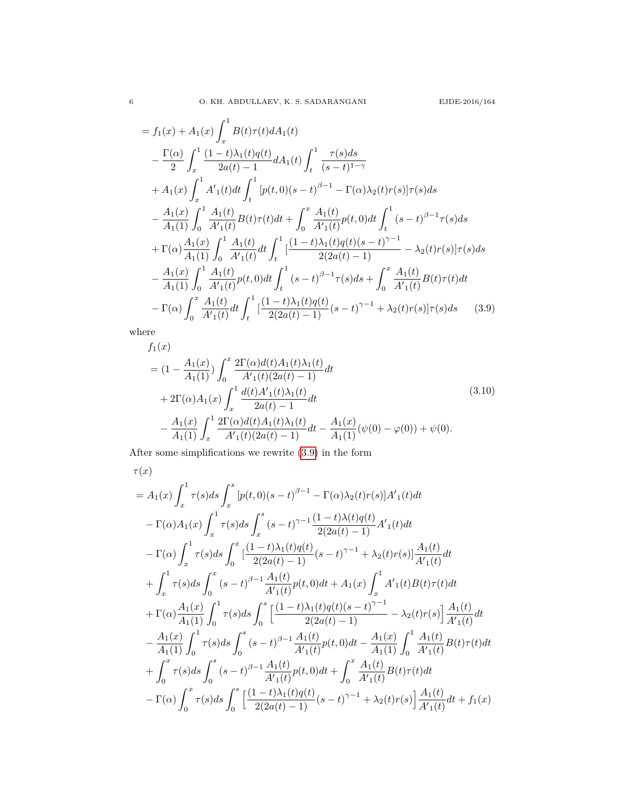$$
= f_1(x) + A_1(x) \int_x^1 B(t)\tau(t) dA_1(t)
$$
  
\n
$$
- \frac{\Gamma(\alpha)}{2} \int_x^1 \frac{(1-t)\lambda_1(t)q(t)}{2a(t)-1} dA_1(t) \int_t^1 \frac{\tau(s) ds}{(s-t)^{1-\gamma}}
$$
  
\n
$$
+ A_1(x) \int_x^1 A'_1(t) dt \int_t^1 [p(t,0)(s-t)^{\beta-1} - \Gamma(\alpha)\lambda_2(t)r(s)]\tau(s) ds
$$
  
\n
$$
- \frac{A_1(x)}{A_1(1)} \int_0^1 \frac{A_1(t)}{A'_1(t)} B(t)\tau(t) dt + \int_0^x \frac{A_1(t)}{A'_1(t)} p(t,0) dt \int_t^1 (s-t)^{\beta-1} \tau(s) ds
$$
  
\n
$$
+ \Gamma(\alpha)\frac{A_1(x)}{A_1(1)} \int_0^1 \frac{A_1(t)}{A'_1(t)} dt \int_t^1 \left[\frac{(1-t)\lambda_1(t)q(t)(s-t)^{\gamma-1}}{2(2a(t)-1)} - \lambda_2(t)r(s)\right] \tau(s) ds
$$
  
\n
$$
- \frac{A_1(x)}{A_1(1)} \int_0^1 \frac{A_1(t)}{A'_1(t)} p(t,0) dt \int_t^1 (s-t)^{\beta-1} \tau(s) ds + \int_0^x \frac{A_1(t)}{A'_1(t)} B(t)\tau(t) dt
$$
  
\n
$$
- \Gamma(\alpha)\int_0^x \frac{A_1(t)}{A'_1(t)} dt \int_t^1 \left[\frac{(1-t)\lambda_1(t)q(t)}{2(2a(t)-1)}(s-t)^{\gamma-1} + \lambda_2(t)r(s)\right] \tau(s) ds \qquad (3.9)
$$

where

<span id="page-5-1"></span><span id="page-5-0"></span>
$$
f_1(x)
$$
  
=  $(1 - \frac{A_1(x)}{A_1(1)}) \int_0^x \frac{2\Gamma(\alpha)d(t)A_1(t)\lambda_1(t)}{A'_1(t)(2a(t) - 1)}dt$   
+  $2\Gamma(\alpha)A_1(x) \int_x^1 \frac{d(t)A'_1(t)\lambda_1(t)}{2a(t) - 1}dt$   
-  $\frac{A_1(x)}{A_1(1)} \int_x^1 \frac{2\Gamma(\alpha)d(t)A_1(t)\lambda_1(t)}{A'_1(t)(2a(t) - 1)}dt - \frac{A_1(x)}{A_1(1)}(\psi(0) - \varphi(0)) + \psi(0).$  (3.10)

After some simplifications we rewrite [\(3.9\)](#page-5-0) in the form

$$
\tau(x) = A_1(x) \int_x^1 \tau(s) ds \int_x^s \left[ p(t,0)(s-t)^{\beta-1} - \Gamma(\alpha) \lambda_2(t)r(s) \right] A'_1(t) dt
$$
  
\n
$$
- \Gamma(\alpha) A_1(x) \int_x^1 \tau(s) ds \int_x^s (s-t)^{\gamma-1} \frac{(1-t)\lambda(t)q(t)}{2(2a(t)-1)} A'_1(t) dt
$$
  
\n
$$
- \Gamma(\alpha) \int_x^1 \tau(s) ds \int_0^x \left[ \frac{(1-t)\lambda_1(t)q(t)}{2(2a(t)-1)} (s-t)^{\gamma-1} + \lambda_2(t)r(s) \right] \frac{A_1(t)}{A'_1(t)} dt
$$
  
\n
$$
+ \int_x^1 \tau(s) ds \int_0^x (s-t)^{\beta-1} \frac{A_1(t)}{A'_1(t)} p(t,0) dt + A_1(x) \int_x^1 A'_1(t) B(t) \tau(t) dt
$$
  
\n
$$
+ \Gamma(\alpha) \frac{A_1(x)}{A_1(1)} \int_0^1 \tau(s) ds \int_0^s \left[ \frac{(1-t)\lambda_1(t)q(t)(s-t)^{\gamma-1}}{2(2a(t)-1)} - \lambda_2(t)r(s) \right] \frac{A_1(t)}{A'_1(1)} dt
$$
  
\n
$$
- \frac{A_1(x)}{A_1(1)} \int_0^1 \tau(s) ds \int_0^s (s-t)^{\beta-1} \frac{A_1(t)}{A'_1(t)} p(t,0) dt - \frac{A_1(x)}{A_1(1)} \int_0^1 \frac{A_1(t)}{A'_1(t)} B(t)\tau(t) dt
$$
  
\n
$$
+ \int_0^x \tau(s) ds \int_0^s (s-t)^{\beta-1} \frac{A_1(t)}{A'_1(t)} p(t,0) dt + \int_0^x \frac{A_1(t)}{A'_1(t)} B(t)\tau(t) dt
$$
  
\n
$$
- \Gamma(\alpha) \int_0^x \tau(s) ds \int_0^s \left[ \frac{(1-t)\lambda_1(t)q(t)}{2(2a(t)-1)} (s-t)^{\gamma-1} + \lambda_2(t)r(s) \right] \frac{A_1(t)}{A'_1(t)} dt + f_1(x)
$$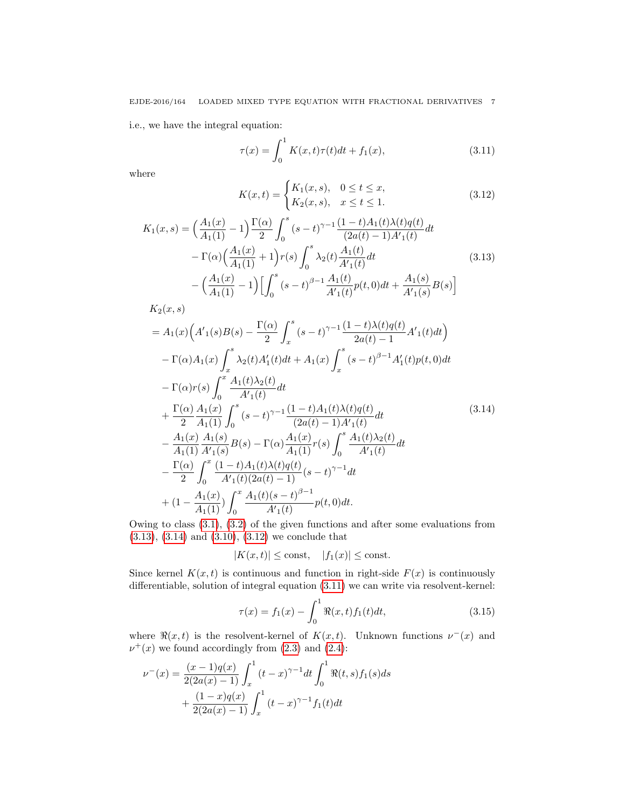i.e., we have the integral equation:

<span id="page-6-3"></span>
$$
\tau(x) = \int_0^1 K(x, t)\tau(t)dt + f_1(x),
$$
\n(3.11)

where

<span id="page-6-2"></span>
$$
K(x,t) = \begin{cases} K_1(x,s), & 0 \le t \le x, \\ K_2(x,s), & x \le t \le 1. \end{cases}
$$
 (3.12)

<span id="page-6-0"></span>
$$
K_{1}(x,s) = \left(\frac{A_{1}(x)}{A_{1}(1)} - 1\right) \frac{\Gamma(\alpha)}{2} \int_{0}^{s} (s-t)^{\gamma-1} \frac{(1-t)A_{1}(t)\lambda(t)q(t)}{(2a(t) - 1)A'_{1}(t)} dt
$$

$$
- \Gamma(\alpha) \left(\frac{A_{1}(x)}{A_{1}(1)} + 1\right) r(s) \int_{0}^{s} \lambda_{2}(t) \frac{A_{1}(t)}{A'_{1}(t)} dt
$$
(3.13)
$$
- \left(\frac{A_{1}(x)}{A_{1}(1)} - 1\right) \left[\int_{0}^{s} (s-t)^{\beta-1} \frac{A_{1}(t)}{A'_{1}(t)} p(t,0) dt + \frac{A_{1}(s)}{A'_{1}(s)} B(s)\right]
$$

<span id="page-6-1"></span>
$$
K_{2}(x,s)
$$
\n
$$
= A_{1}(x) \Big( A'_{1}(s)B(s) - \frac{\Gamma(\alpha)}{2} \int_{x}^{s} (s-t)^{\gamma-1} \frac{(1-t)\lambda(t)q(t)}{2a(t)-1} A'_{1}(t)dt \Big) - \Gamma(\alpha) A_{1}(x) \int_{x}^{s} \lambda_{2}(t) A'_{1}(t)dt + A_{1}(x) \int_{x}^{s} (s-t)^{\beta-1} A'_{1}(t)p(t,0)dt - \Gamma(\alpha)r(s) \int_{0}^{x} \frac{A_{1}(t)\lambda_{2}(t)}{A'_{1}(t)}dt + \frac{\Gamma(\alpha)}{2} \frac{A_{1}(x)}{A_{1}(1)} \int_{0}^{s} (s-t)^{\gamma-1} \frac{(1-t)A_{1}(t)\lambda(t)q(t)}{(2a(t)-1)A'_{1}(t)}dt - \frac{A_{1}(x)}{A_{1}(1)} \frac{A_{1}(s)}{A'_{1}(s)} B(s) - \Gamma(\alpha) \frac{A_{1}(x)}{A_{1}(1)} r(s) \int_{0}^{s} \frac{A_{1}(t)\lambda_{2}(t)}{A'_{1}(t)}dt - \frac{\Gamma(\alpha)}{2} \int_{0}^{x} \frac{(1-t)A_{1}(t)\lambda(t)q(t)}{A'_{1}(t)(2a(t)-1)} (s-t)^{\gamma-1}dt + (1 - \frac{A_{1}(x)}{A_{1}(1)}) \int_{0}^{x} \frac{A_{1}(t)(s-t)^{\beta-1}}{A'_{1}(t)} p(t,0)dt.
$$
\n
$$
(3.14)
$$

Owing to class [\(3.1\)](#page-4-4), [\(3.2\)](#page-4-5) of the given functions and after some evaluations from [\(3.13\)](#page-6-0), [\(3.14\)](#page-6-1) and [\(3.10\)](#page-5-1), [\(3.12\)](#page-6-2) we conclude that

$$
|K(x,t)| \le \text{const}, \quad |f_1(x)| \le \text{const}.
$$

Since kernel  $K(x, t)$  is continuous and function in right-side  $F(x)$  is continuously differentiable, solution of integral equation [\(3.11\)](#page-6-3) we can write via resolvent-kernel:

$$
\tau(x) = f_1(x) - \int_0^1 \Re(x, t) f_1(t) dt,
$$
\n(3.15)

where  $\Re(x, t)$  is the resolvent-kernel of  $K(x, t)$ . Unknown functions  $\nu^-(x)$  and  $\nu^+(x)$  we found accordingly from [\(2.3\)](#page-2-3) and [\(2.4\)](#page-2-1):

$$
\nu^{-}(x) = \frac{(x-1)q(x)}{2(2a(x)-1)} \int_{x}^{1} (t-x)^{\gamma-1} dt \int_{0}^{1} \Re(t,s) f_1(s) ds
$$

$$
+ \frac{(1-x)q(x)}{2(2a(x)-1)} \int_{x}^{1} (t-x)^{\gamma-1} f_1(t) dt
$$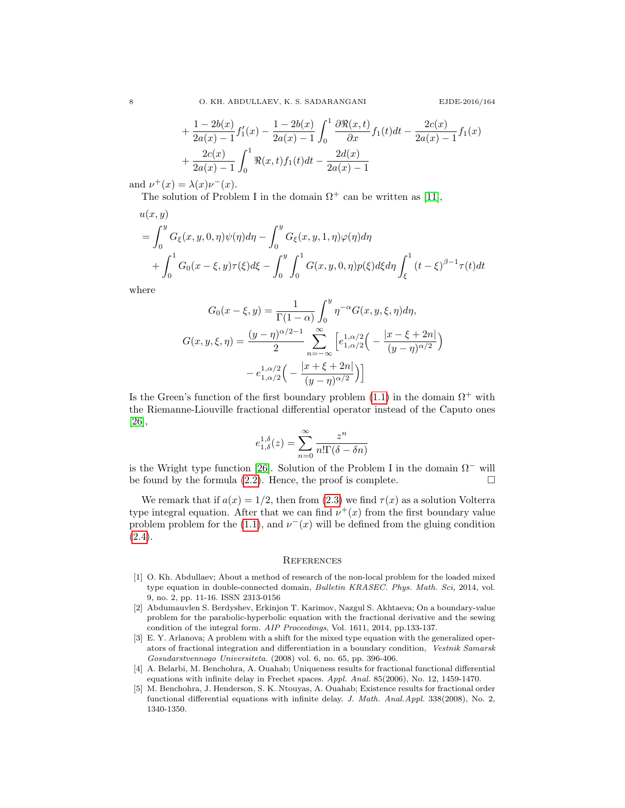$$
+\frac{1-2b(x)}{2a(x)-1}f'_1(x) - \frac{1-2b(x)}{2a(x)-1} \int_0^1 \frac{\partial \Re(x,t)}{\partial x} f_1(t)dt - \frac{2c(x)}{2a(x)-1}f_1(x) + \frac{2c(x)}{2a(x)-1} \int_0^1 \Re(x,t)f_1(t)dt - \frac{2d(x)}{2a(x)-1}
$$

and  $\nu^+(x) = \lambda(x)\nu^-(x)$ .

The solution of Problem I in the domain  $\Omega^+$  can be written as [\[11\]](#page-8-17),

$$
u(x, y)
$$
  
=  $\int_0^y G_{\xi}(x, y, 0, \eta)\psi(\eta)d\eta - \int_0^y G_{\xi}(x, y, 1, \eta)\varphi(\eta)d\eta$   
+  $\int_0^1 G_0(x - \xi, y)\tau(\xi)d\xi - \int_0^y \int_0^1 G(x, y, 0, \eta)p(\xi)d\xi d\eta \int_{\xi}^1 (t - \xi)^{\beta - 1}\tau(t)dt$ 

where

$$
G_0(x - \xi, y) = \frac{1}{\Gamma(1 - \alpha)} \int_0^y \eta^{-\alpha} G(x, y, \xi, \eta) d\eta,
$$
  

$$
G(x, y, \xi, \eta) = \frac{(y - \eta)^{\alpha/2 - 1}}{2} \sum_{n = -\infty}^{\infty} \left[ e_{1, \alpha/2}^{1, \alpha/2} \left( -\frac{|x - \xi + 2n|}{(y - \eta)^{\alpha/2}} \right) - e_{1, \alpha/2}^{1, \alpha/2} \left( -\frac{|x + \xi + 2n|}{(y - \eta)^{\alpha/2}} \right) \right]
$$

Is the Green's function of the first boundary problem [\(1.1\)](#page-1-0) in the domain  $\Omega^+$  with the Riemanne-Liouville fractional differential operator instead of the Caputo ones [\[26\]](#page-8-23),

$$
e^{1,\delta}_{1,\delta}(z)=\sum_{n=0}^\infty\frac{z^n}{n!\Gamma(\delta-\delta n)}
$$

is the Wright type function [\[26\]](#page-8-23). Solution of the Problem I in the domain  $\Omega^-$  will be found by the formula  $(2.2)$ . Hence, the proof is complete.  $\Box$ 

We remark that if  $a(x) = 1/2$ , then from [\(2.3\)](#page-2-3) we find  $\tau(x)$  as a solution Volterra type integral equation. After that we can find  $\nu^+(x)$  from the first boundary value problem problem for the [\(1.1\)](#page-1-0), and  $\nu^-(x)$  will be defined from the gluing condition  $(2.4).$  $(2.4).$ 

#### **REFERENCES**

- <span id="page-7-3"></span>[1] O. Kh. Abdullaev; About a method of research of the non-local problem for the loaded mixed type equation in double-connected domain, Bulletin KRASEC. Phys. Math. Sci, 2014, vol. 9, no. 2, pp. 11-16. ISSN 2313-0156
- <span id="page-7-4"></span>[2] Abdumauvlen S. Berdyshev, Erkinjon T. Karimov, Nazgul S. Akhtaeva; On a boundary-value problem for the parabolic-hyperbolic equation with the fractional derivative and the sewing condition of the integral form. AIP Proceedings, Vol. 1611, 2014, pp.133-137.
- <span id="page-7-2"></span>[3] E. Y. Arlanova; A problem with a shift for the mixed type equation with the generalized operators of fractional integration and differentiation in a boundary condition, Vestnik Samarsk Gosudarstvennogo Universiteta. (2008) vol. 6, no. 65, pp. 396-406.
- <span id="page-7-0"></span>[4] A. Belarbi, M. Benchohra, A. Ouahab; Uniqueness results for fractional functional differential equations with infinite delay in Frechet spaces. Appl. Anal. 85(2006), No. 12, 1459-1470.
- <span id="page-7-1"></span>[5] M. Benchohra, J. Henderson, S. K. Ntouyas, A. Ouahab; Existence results for fractional order functional differential equations with infinite delay. J. Math. Anal.Appl. 338(2008), No. 2, 1340-1350.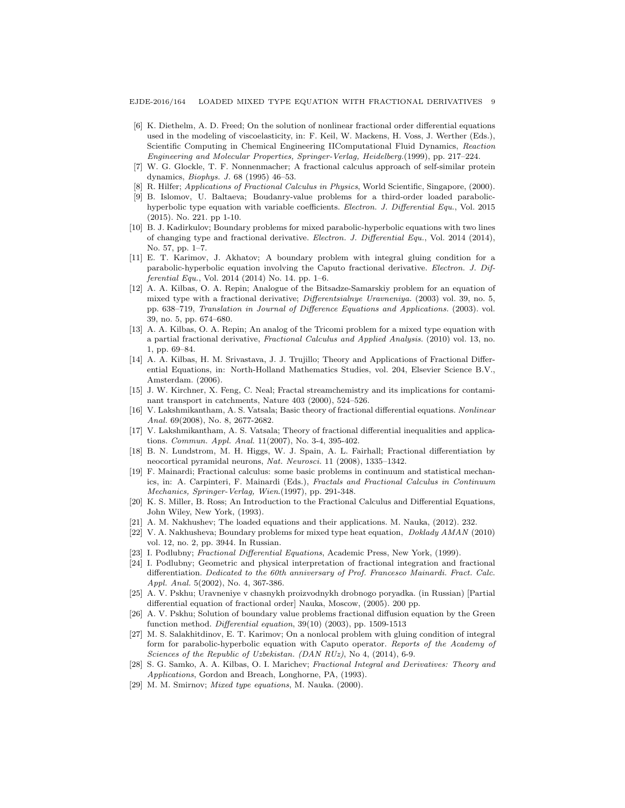EJDE-2016/164 LOADED MIXED TYPE EQUATION WITH FRACTIONAL DERIVATIVES 9

- <span id="page-8-1"></span>[6] K. Diethelm, A. D. Freed; On the solution of nonlinear fractional order differential equations used in the modeling of viscoelasticity, in: F. Keil, W. Mackens, H. Voss, J. Werther (Eds.), Scientific Computing in Chemical Engineering IIComputational Fluid Dynamics, Reaction Engineering and Molecular Properties, Springer-Verlag, Heidelberg.(1999), pp. 217–224.
- <span id="page-8-2"></span>[7] W. G. Glockle, T. F. Nonnenmacher; A fractional calculus approach of self-similar protein dynamics, Biophys. J. 68 (1995) 46–53.
- <span id="page-8-3"></span>[8] R. Hilfer; Applications of Fractional Calculus in Physics, World Scientific, Singapore, (2000).
- <span id="page-8-19"></span>[9] B. Islomov, U. Baltaeva; Boudanry-value problems for a third-order loaded parabolichyperbolic type equation with variable coefficients. Electron. J. Differential Equ., Vol. 2015 (2015). No. 221. pp 1-10.
- <span id="page-8-16"></span>[10] B. J. Kadirkulov; Boundary problems for mixed parabolic-hyperbolic equations with two lines of changing type and fractional derivative. Electron. J. Differential Equ., Vol. 2014 (2014), No. 57, pp. 1–7.
- <span id="page-8-17"></span>[11] E. T. Karimov, J. Akhatov; A boundary problem with integral gluing condition for a parabolic-hyperbolic equation involving the Caputo fractional derivative. Electron. J. Differential Equ., Vol. 2014 (2014) No. 14. pp. 1–6.
- <span id="page-8-13"></span>[12] A. A. Kilbas, O. A. Repin; Analogue of the Bitsadze-Samarskiy problem for an equation of mixed type with a fractional derivative; Differentsialnye Uravneniya. (2003) vol. 39, no. 5, pp. 638–719, Translation in Journal of Difference Equations and Applications. (2003). vol. 39, no. 5, pp. 674–680.
- <span id="page-8-14"></span>[13] A. A. Kilbas, O. A. Repin; An analog of the Tricomi problem for a mixed type equation with a partial fractional derivative, Fractional Calculus and Applied Analysis. (2010) vol. 13, no. 1, pp. 69–84.
- <span id="page-8-7"></span>[14] A. A. Kilbas, H. M. Srivastava, J. J. Trujillo; Theory and Applications of Fractional Differential Equations, in: North-Holland Mathematics Studies, vol. 204, Elsevier Science B.V., Amsterdam. (2006).
- <span id="page-8-4"></span>[15] J. W. Kirchner, X. Feng, C. Neal; Fractal streamchemistry and its implications for contaminant transport in catchments, Nature 403 (2000), 524–526.
- <span id="page-8-10"></span>[16] V. Lakshmikantham, A. S. Vatsala; Basic theory of fractional differential equations. Nonlinear Anal. 69(2008), No. 8, 2677-2682.
- <span id="page-8-11"></span>[17] V. Lakshmikantham, A. S. Vatsala; Theory of fractional differential inequalities and applications. Commun. Appl. Anal. 11(2007), No. 3-4, 395-402.
- <span id="page-8-5"></span>[18] B. N. Lundstrom, M. H. Higgs, W. J. Spain, A. L. Fairhall; Fractional differentiation by neocortical pyramidal neurons, Nat. Neurosci. 11 (2008), 1335–1342.
- <span id="page-8-6"></span>[19] F. Mainardi; Fractional calculus: some basic problems in continuum and statistical mechanics, in: A. Carpinteri, F. Mainardi (Eds.), Fractals and Fractional Calculus in Continuum Mechanics, Springer-Verlag, Wien.(1997), pp. 291-348.
- <span id="page-8-8"></span>[20] K. S. Miller, B. Ross; An Introduction to the Fractional Calculus and Differential Equations, John Wiley, New York, (1993).
- <span id="page-8-18"></span>[21] A. M. Nakhushev; The loaded equations and their applications. M. Nauka, (2012). 232.
- <span id="page-8-15"></span>[22] V. A. Nakhusheva; Boundary problems for mixed type heat equation, Doklady AMAN (2010) vol. 12, no. 2, pp. 3944. In Russian.
- <span id="page-8-0"></span>[23] I. Podlubny; Fractional Differential Equations, Academic Press, New York, (1999).
- <span id="page-8-12"></span>[24] I. Podlubny; Geometric and physical interpretation of fractional integration and fractional differentiation. Dedicated to the 60th anniversary of Prof. Francesco Mainardi. Fract. Calc. Appl. Anal. 5(2002), No. 4, 367-386.
- <span id="page-8-22"></span>[25] A. V. Pskhu; Uravneniye v chasnykh proizvodnykh drobnogo poryadka. (in Russian) [Partial differential equation of fractional order] Nauka, Moscow, (2005). 200 pp.
- <span id="page-8-23"></span>[26] A. V. Pskhu; Solution of boundary value problems fractional diffusion equation by the Green function method. Differential equation, 39(10) (2003), pp. 1509-1513
- <span id="page-8-20"></span>[27] M. S. Salakhitdinov, E. T. Karimov; On a nonlocal problem with gluing condition of integral form for parabolic-hyperbolic equation with Caputo operator. Reports of the Academy of Sciences of the Republic of Uzbekistan. (DAN RUz), No 4, (2014), 6-9.
- <span id="page-8-9"></span>[28] S. G. Samko, A. A. Kilbas, O. I. Marichev; Fractional Integral and Derivatives: Theory and Applications, Gordon and Breach, Longhorne, PA, (1993).
- <span id="page-8-21"></span>[29] M. M. Smirnov; Mixed type equations, M. Nauka. (2000).